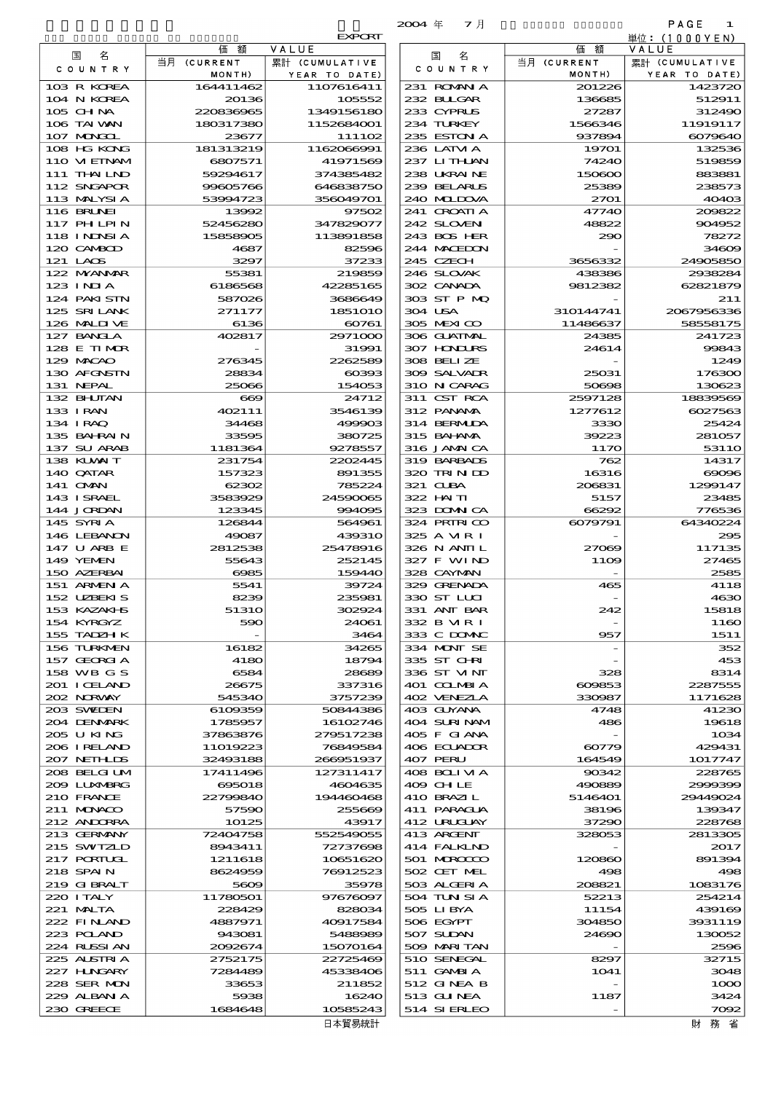|                                                                                          |                        |                          | マ月<br>$2004 \text{ } \#$   |                       | PAGE<br>1               |
|------------------------------------------------------------------------------------------|------------------------|--------------------------|----------------------------|-----------------------|-------------------------|
|                                                                                          |                        | <b>EXPORT</b>            |                            |                       | 単位: (1000YEN)           |
| 名<br>国                                                                                   | 価<br>額<br>当月 (CURRENT  | VALUE<br>累計 (CUMULATIVE  | 名<br>国                     | 価<br>額<br>当月 (CURRENT | VALUE<br>累計 (CUMULATIVE |
| C O U N T R Y                                                                            | MONTH)                 | YEAR TO DATE)            | C O U N T R Y              | MONTH)                | YEAR TO DATE)           |
| 103 R KOREA                                                                              | 164411462              | 1107616411               | 231 ROMAN A                | 201226                | 1423720                 |
| 104 N KOREA                                                                              | 20136                  | 105552                   | 232 BUGAR                  | 136685                | 512911                  |
| 105 CHNA<br>106 TAI WAN                                                                  | 220836965<br>180317380 | 1349156180<br>1152684001 | 233 CYPRUS<br>234 TURKEY   | 27287<br>1566346      | 312490<br>11919117      |
| 107 MONGOL                                                                               | 23677                  | 111102                   | 235 ESTON A                | 937894                | 6079640                 |
| 108 HG KONG                                                                              | 181313219              | 1162066991               | 236 LATM A                 | 19701                 | 132536                  |
| 110 VIETNAM                                                                              | 6807571                | 41971569                 | 237 LITHLAN                | 74240                 | 519859                  |
| 111 THAILND                                                                              | 59294617               | 374385482                | 238 UKRAINE                | 150600                | 883881                  |
| 112 SNGAPOR                                                                              | 99605766<br>53994723   | 646838750                | 239 BELARUS<br>240 MIDOVA  | 25389                 | 238573<br>40403         |
| 113 MALYSIA<br>116 BRUNEI                                                                | 13992                  | 356049701<br>97502       | 241 CROATIA                | 2701<br>47740         | 209822                  |
| 117 PHLPIN                                                                               | 52456280               | 347829077                | 242 SLOVEN                 | 48822                 | 904952                  |
| 118 I NDNSI A                                                                            | 15858905               | 113891858                | 243 BOS HER                | 290                   | 78272                   |
| 120 CAMBOD                                                                               | 4687                   | 82596                    | 244 MACEDON                |                       | 34609                   |
| 121 LAOS                                                                                 | 3297                   | 37233                    | 245 CZECH                  | 3656332               | 24905850                |
| 122 MYANAR<br>123 INJA                                                                   | 55381<br>6186568       | 219859<br>42285165       | 246 SLOVAK<br>302 CANADA   | 438386<br>9812382     | 2938284<br>62821879     |
| 124 PAKI STN                                                                             | 587026                 | 3686649                  | 303 ST P MQ                |                       | 211                     |
| 125 SRILANK                                                                              | 271177                 | 1851010                  | 304 USA                    | 310144741             | 2067956336              |
| 126 MALINE                                                                               | 6136                   | 60761                    | 305 MEXICO                 | 11486637              | 58558175                |
| 127 BANCLA                                                                               | 402817                 | 2971000                  | 306 GUATMAL                | 24385                 | 241723                  |
| 128 E TIMOR<br>129 MACAO                                                                 | 276345                 | 31991<br>2262589         | 307 HNURS<br>308 BELLZE    | 24614                 | 99843<br>1249           |
| 130 AFGNSTN                                                                              | 28834                  | 00393                    | 309 SALVADR                | 25031                 | 176300                  |
| 131 NEPAL                                                                                | 25066                  | 154053                   | 310 N CARAG                | 50698                 | 130623                  |
| 132 BHUTAN                                                                               | $\bf{609}$             | 24712                    | 311 CST RCA                | 2597128               | 18839569                |
| 133 IRAN                                                                                 | 402111                 | 3546139                  | 312 PANAMA                 | 1277612               | 6027563                 |
| 134 IRAQ                                                                                 | 34468                  | 499903                   | 314 BERMIDA                | 3330                  | 25424                   |
| 135 BAHRAIN<br>137 SU ARAB                                                               | 33595<br>1181364       | 380725<br>9278557        | 315 BAI ANA<br>316 JAMAICA | 39223<br>1170         | 281057<br>5311O         |
| 138 KUWAIT                                                                               | 231754                 | 2202445                  | 319 BARBADS                | 762                   | 14317                   |
| 140 QATAR                                                                                | 157323                 | 891355                   | 320 TRINDO                 | 16316                 | $\infty$                |
| 141 <b>OMN</b>                                                                           | 62302                  | 785224                   | 321 CLBA                   | 206831                | 1299147                 |
| 143 ISRAEL                                                                               | 3583929                | 24590065                 | 322 HAITI                  | 5157                  | 23485                   |
| 144 JORDAN                                                                               | 123345                 | 994095                   | 323 DOMNICA                | 66292                 | 776536                  |
|                                                                                          |                        |                          |                            |                       |                         |
| 145 SYRIA                                                                                | 126844                 | 564961                   | 324 PRINICO                | 6079791               | 64340224                |
| 146 LEBANON<br>147 U ARB E                                                               | 49087<br>2812538       | 439310<br>25478916       | 325 A MR I<br>326 N ANII L | 27069                 | 295<br>117135           |
| 149 YEMEN                                                                                | 55643                  | 252145                   | 327 F WIND                 | 11O <sub>9</sub>      | 27465                   |
| 150 AZERBAI                                                                              | 6985                   | 159440                   | 328 CAYMAN                 |                       | 2585                    |
| 151 ARMENIA                                                                              | 5541                   | 39724                    | 329 GRENADA                | 465                   | 4118                    |
| 152 UZBEKIS                                                                              | 8239                   | 235981                   | 330 ST LLCI                |                       | 4630                    |
| 153 KAZAKHS<br>154 KYRGYZ                                                                | 51310<br>590           | 302924<br>24061          | 331 ANT BAR<br>332 B MR I  | 242                   | 15818<br>1160           |
| 155 TADZH K                                                                              |                        | 3464                     | 333 C DOMAC                | 957                   | 1511                    |
| 156 TURKMEN                                                                              | 16182                  | 34265                    | 334 MONT SE                |                       | 352                     |
| 157 GEORGIA                                                                              | 4180                   | 18794                    | 335 ST CHRI                |                       | 453                     |
| 158 WB G S                                                                               | 6584                   | 28689                    | 336 ST VINT                | 328                   | 8314                    |
|                                                                                          | 26675<br>545340        | 337316<br>3757239        | 401 COLMBIA<br>402 VENEZLA | 609853<br>330987      | 2287555<br>1171628      |
| 201 I CELAND<br>202 NORWAY<br>203 SWIEN                                                  | 6109359                | 50844386                 | 403 GUYANA                 | 4748                  | 41230                   |
|                                                                                          | 1785957                | 16102746                 | 404 SURINAM                | 486                   | 19618                   |
| 204 DENMARK<br>205 U KING                                                                | 37863876               | 279517238                | 405 F GIANA                |                       | 1034                    |
|                                                                                          | 11019223               | 76849584                 | 406 ECUADOR                | 60779                 | 429431                  |
|                                                                                          | 32493188               | 266951937                | 407 PERU                   | 164549                | 1017747                 |
|                                                                                          | 17411496<br>695018     | 127311417<br>4604635     | 408 BOLI VI A<br>409 CH LE | 90342<br>490889       | 228765<br>2000309       |
|                                                                                          | 22799840               | 194460468                | 410 BRAZIL                 | 5146401               | 29449024                |
| 206 I RELAND<br>207 NETH LIS<br>208 BELGI UM<br>2009 LUNABRG<br>210 FRANCE<br>211 MUNACO | 57590                  | 255669                   | 411 PARAGUA                | 38196                 | 139347                  |
|                                                                                          | 10125                  | 43917                    | 412 URUGUAY                | 37290                 | 228768                  |
| 212 ANDORRA<br>213 GERMANY<br>215 SWIZLD                                                 | 72404758<br>8943411    | 552549055<br>72737698    | 413 ARCENT<br>414 FALKLND  | 328053                | 2813305<br>2017         |
|                                                                                          | 1211618                | 10651620                 | 501 MROCCO                 | 120860                | 891394                  |
| 217 PORTUGL<br>218 SPAIN                                                                 | 8624959                | 76912523                 | 502 CET MEL                | 498                   | 498                     |
|                                                                                          | 5609                   | 35978                    | 503 ALGERIA                | 208821                | 1083176                 |
| 219 GIBRALT<br>220 I TALY                                                                | 11780501               | 97676097                 | 504 TUN SI A               | 52213                 | 254214                  |
| 221 MALTA                                                                                | 228429                 | 828034                   | 505 LIBYA                  | 11154                 | 439169                  |
|                                                                                          | 4887971<br>943081      | 40917584<br>5488989      | 506 EGYPT<br>507 SUDAN     | 304850<br>24690       | 3931119<br>130052       |
|                                                                                          | 2092674                | 15070164                 | 509 MARITAN                |                       | 2596                    |
|                                                                                          | 2752175                | 22725469                 | 510 SENEGAL                | 8297                  | 32715                   |
| 222 FINAND<br>223 POLAND<br>224 RUSSI AN<br>225 ALSTRI A<br>227 HNGARY                   | 7284489                | 45338406                 | 511 GAMBIA                 | 1041                  | 3048                    |
| 228 SER MON<br>229 ALBAN A                                                               | 33653<br>5938          | 211852<br>16240          | 512 GINEA B<br>513 GUNEA   | 1187                  | 1000<br>3424            |

|                             |                      | <b>EXPORT</b>               |
|-----------------------------|----------------------|-----------------------------|
| 国<br>名                      | 額<br>価               | VALUE                       |
| C O U N T R Y               | 当月 (CURRENT          | 累計 (CUMULATIVE              |
| 103 R KOREA                 | MONTH)<br>164411462  | YEAR TO DATE)<br>1107616411 |
| 104 N KOREA                 | 20136                | 105552                      |
| $105$ CHNA                  | 220836965            | 1349156180                  |
| 106 TAI WAN                 | 180317380            | 1152684001                  |
| 107 MAGCL                   | 23677                | 111102                      |
| 108 HG KONG                 | 181313219            | 1162066991                  |
| 110 VIEINAM<br>111 THAI IND | 6807571<br>59294617  | 41971569<br>374385482       |
| 112 SNGAPOR                 | 99605766             | 646838750                   |
| 113 MALYSIA                 | 53994723             | 356049701                   |
| 116 BRUNEI                  | 13992                | 97502                       |
| 117 PHLPIN                  | 52456280             | 347829077                   |
| 118 INDSIA                  | 15858905             | 113891858                   |
| 120 CAMBOD<br>121 LAOS      | 4687<br>3297         | 82596<br>37233              |
| 122 NYANAR                  | 55381                | 219859                      |
| $123 \text{ INIA}$          | 6186568              | 42285165                    |
| 124 PAKISTN                 | 587026               | 3686649                     |
| 125 SRILANK                 | 271177               | 1851010                     |
| 126 MALIVE                  | 6136                 | 60761                       |
| 127 BANCLA<br>128 E TIMOR   | 402817               | 2971000<br>31991            |
| 129 MACAO                   | 276345               | 2262589                     |
| 130 AFGNSTN                 | 28834                | $\alpha$                    |
| 131 NEPAL                   | 25066                | 154053                      |
| 132 BHUTAN                  | $\infty$             | 24712                       |
| 133 I RAN<br>134 IRAQ       | 402111<br>34468      | 3546139<br>499903           |
| 135 BAHRAIN                 | 33595                | 380725                      |
| 137 SU ARAB                 | 1181364              | 9278557                     |
| 138 KUWAIT                  | 231754               | 2202445                     |
| 140 QATAR                   | 157323               | 891355                      |
| 141 OMN<br>143 ISRAEL       | 62302<br>3583929     | 785224<br>24590065          |
| 144 JORDAN                  | 123345               | 994095                      |
| 145 SYRI A                  | 126844               | 564961                      |
| 146 LEBANON                 | 49087                | 439310                      |
| 147 U ARB E                 | 2812538<br>55643     | 25478916                    |
| 149 YEMEN<br>150 AZERBAI    | 6985                 | 252145<br>159440            |
| 151 ARMENIA                 | 5541                 | 39724                       |
| 152 UZBEKIS                 | 8239                 | 235981                      |
| 153 KAZAKI-S                | 51310                | 302924                      |
| 154 KYRGYZ<br>155 TADZH K   | 590                  | 24061<br>3464               |
| 156 TURKMEN                 | 16182                | 34265                       |
| 157 GEORGIA                 | 4180                 | 18794                       |
| 158 WB G S                  | 6584                 | 28689                       |
| 201 I CELAND<br>202 NORWAY  | 26675                | 337316                      |
| 203 SVELEN                  | 545340<br>6109359    | 3757239<br>50844386         |
| 204 DENMARK                 | 1785957              | 16102746                    |
| 205 U KING                  | 37863876             | 279517238                   |
| 206 I RELAND                | 11019223             | 76849584                    |
| 207 NETHLIS<br>208 BELGI UM | 32493188<br>17411496 | 266951937<br>127311417      |
| 2009 LUXWERG                | 695018               | 4604635                     |
| 210 FRANCE                  | 22799840             | 194460468                   |
| 211 MONACO                  | 57590                | 255669                      |
| 212 ANDORRA                 | 10125                | 43917                       |
| 213 GERMANY<br>215 SWIZLD   | 72404758<br>8943411  | 552549055<br>72737698       |
| 217 PORIUL                  | 1211618              | 10651620                    |
| 218 SPAIN                   | 8624959              | 76912523                    |
| 219 GIBRALT                 | 5609                 | 35978                       |
| 220 ITALY                   | 11780501             | 97676097                    |
| 221 MALTA<br>222 FINLAND    | 228429<br>4887971    | 828034<br>40917584          |
| 223 POLAND                  | 943081               | 5488989                     |
| 224 RUSSI AN                | 2092674              | 15070164                    |
| 225 ALSTRIA                 | 2752175              | 22725469                    |
| 227 HNGARY<br>228 SER MON   | 7284489<br>33653     | 45338406                    |
| 229 ALBAN A                 | 5938                 | 211852<br>16240             |
| 230 GREECE                  | 1684648              | 10585243                    |
|                             |                      | 日本貿易統計                      |

財務省